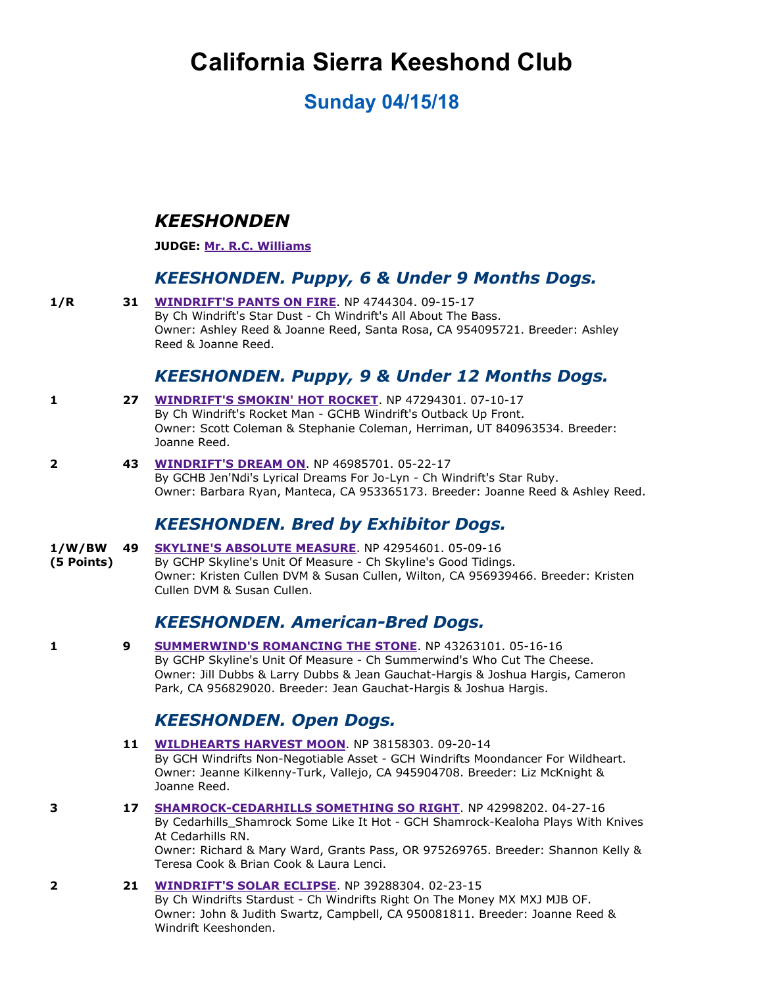# **California Sierra Keeshond Club**

## **Sunday 04/15/18**

## *KEESHONDEN*

#### **JUDGE: [Mr. R.C. Williams](http://www.infodog.com/show/judge/jdgprofile.htm?jn=93917)**

#### *KEESHONDEN. Puppy, 6 & Under 9 Months Dogs.*

**1/R 31 [WINDRIFT'S PANTS ON FIRE](http://www.infodog.com/my/drlookup2.htm?makc=NP%204744304&mdog=Windrift%27s+Pants+On+Fire&wins=all). NP 4744304. 09-15-17** By Ch Windrift's Star Dust - Ch Windrift's All About The Bass. Owner: Ashley Reed & Joanne Reed, Santa Rosa, CA 954095721. Breeder: Ashley Reed & Joanne Reed.

### *KEESHONDEN. Puppy, 9 & Under 12 Months Dogs.*

- **1 <b>27 [WINDRIFT'S SMOKIN' HOT ROCKET](http://www.infodog.com/my/drlookup2.htm?makc=NP%2047294301&mdog=Windrift%27s+Smokin%27+Hot+Rocket&wins=all)**. NP 47294301. 07-10-17 By Ch Windrift's Rocket Man - GCHB Windrift's Outback Up Front. Owner: Scott Coleman & Stephanie Coleman, Herriman, UT 840963534. Breeder: Joanne Reed.
- **2 43 [WINDRIFT'S DREAM ON](http://www.infodog.com/my/drlookup2.htm?makc=NP%2046985701&mdog=Windrift%27s+Dream+On&wins=all)**. NP 46985701. 052217 By GCHB Jen'Ndi's Lyrical Dreams For Jo-Lyn - Ch Windrift's Star Ruby. Owner: Barbara Ryan, Manteca, CA 953365173. Breeder: Joanne Reed & Ashley Reed.

## *KEESHONDEN. Bred by Exhibitor Dogs.*

- **1/W/BW [SKYLINE'S ABSOLUTE MEASURE](http://www.infodog.com/my/drlookup2.htm?makc=NP%2042954601&mdog=Skyline%27s+Absolute+Measure&wins=all). NP 42954601. 05-09-16**
- **(5 Points)** By GCHP Skyline's Unit Of Measure - Ch Skyline's Good Tidings. Owner: Kristen Cullen DVM & Susan Cullen, Wilton, CA 956939466. Breeder: Kristen Cullen DVM & Susan Cullen.

## **KEESHONDEN. American-Bred Dogs.**

**1 9 [SUMMERWIND'S ROMANCING THE STONE](http://www.infodog.com/my/drlookup2.htm?makc=NP%2043263101&mdog=Summerwind%27s+Romancing+The+Stone&wins=all)**. NP 43263101. 05-16-16 By GCHP Skyline's Unit Of Measure Ch Summerwind's Who Cut The Cheese. Owner: Jill Dubbs & Larry Dubbs & Jean Gauchat-Hargis & Joshua Hargis, Cameron Park, CA 956829020. Breeder: Jean Gauchat-Hargis & Joshua Hargis.

#### *KEESHONDEN. Open Dogs.*

- **11 [WILDHEARTS HARVEST MOON](http://www.infodog.com/my/drlookup2.htm?makc=NP%2038158303&mdog=Wildhearts+Harvest+Moon&wins=all). NP 38158303. 09-20-14** By GCH Windrifts Non-Negotiable Asset - GCH Windrifts Moondancer For Wildheart. Owner: Jeanne Kilkenny-Turk, Vallejo, CA 945904708. Breeder: Liz McKnight & Joanne Reed.
- **3 17 SHAMROCK-CEDARHILLS SOMETHING SO RIGHT**. NP 42998202. 04-27-16 By Cedarhills Shamrock Some Like It Hot - GCH Shamrock-Kealoha Plays With Knives At Cedarhills RN. Owner: Richard & Mary Ward, Grants Pass, OR 975269765. Breeder: Shannon Kelly & Teresa Cook & Brian Cook & Laura Lenci.
- **2 21 [WINDRIFT'S SOLAR ECLIPSE](http://www.infodog.com/my/drlookup2.htm?makc=NP%2039288304&mdog=Windrift%27s+Solar+Eclipse&wins=all).** NP 39288304. 02-23-15 By Ch Windrifts Stardust - Ch Windrifts Right On The Money MX MXJ MJB OF. Owner: John & Judith Swartz, Campbell, CA 950081811. Breeder: Joanne Reed & Windrift Keeshonden.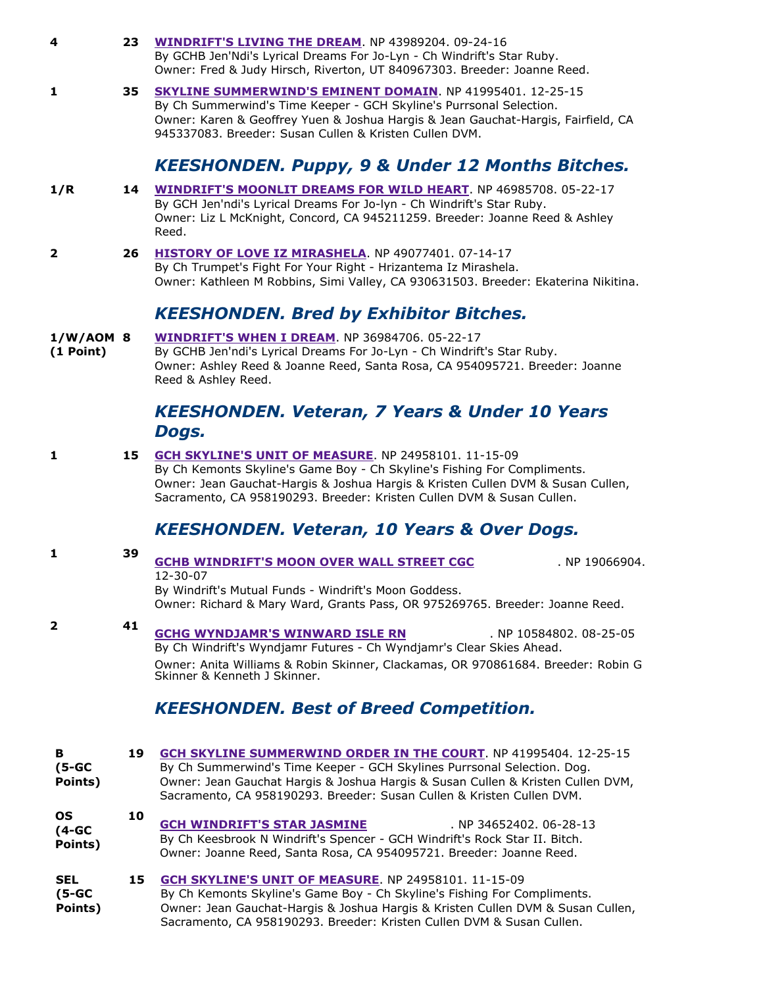| 4                                 | 23 | <b>WINDRIFT'S LIVING THE DREAM. NP 43989204. 09-24-16</b><br>By GCHB Jen'Ndi's Lyrical Dreams For Jo-Lyn - Ch Windrift's Star Ruby.<br>Owner: Fred & Judy Hirsch, Riverton, UT 840967303. Breeder: Joanne Reed.                                                                                                |
|-----------------------------------|----|----------------------------------------------------------------------------------------------------------------------------------------------------------------------------------------------------------------------------------------------------------------------------------------------------------------|
| 1                                 | 35 | <b>SKYLINE SUMMERWIND'S EMINENT DOMAIN. NP 41995401. 12-25-15</b><br>By Ch Summerwind's Time Keeper - GCH Skyline's Purrsonal Selection.<br>Owner: Karen & Geoffrey Yuen & Joshua Hargis & Jean Gauchat-Hargis, Fairfield, CA<br>945337083. Breeder: Susan Cullen & Kristen Cullen DVM.                        |
|                                   |    | <b>KEESHONDEN. Puppy, 9 &amp; Under 12 Months Bitches.</b>                                                                                                                                                                                                                                                     |
| 1/R                               | 14 | <b>WINDRIFT'S MOONLIT DREAMS FOR WILD HEART</b> . NP 46985708. 05-22-17<br>By GCH Jen'ndi's Lyrical Dreams For Jo-lyn - Ch Windrift's Star Ruby.<br>Owner: Liz L McKnight, Concord, CA 945211259. Breeder: Joanne Reed & Ashley<br>Reed.                                                                       |
| 2                                 | 26 | HISTORY OF LOVE IZ MIRASHELA. NP 49077401. 07-14-17<br>By Ch Trumpet's Fight For Your Right - Hrizantema Iz Mirashela.<br>Owner: Kathleen M Robbins, Simi Valley, CA 930631503. Breeder: Ekaterina Nikitina.                                                                                                   |
|                                   |    | <b>KEESHONDEN. Bred by Exhibitor Bitches.</b>                                                                                                                                                                                                                                                                  |
| $1/W/AOM$ 8<br>(1 Point)          |    | <b>WINDRIFT'S WHEN I DREAM. NP 36984706. 05-22-17</b><br>By GCHB Jen'ndi's Lyrical Dreams For Jo-Lyn - Ch Windrift's Star Ruby.<br>Owner: Ashley Reed & Joanne Reed, Santa Rosa, CA 954095721. Breeder: Joanne<br>Reed & Ashley Reed.                                                                          |
|                                   |    | <b>KEESHONDEN. Veteran, 7 Years &amp; Under 10 Years</b><br>Dogs.                                                                                                                                                                                                                                              |
| 1                                 | 15 | <b>GCH SKYLINE'S UNIT OF MEASURE. NP 24958101. 11-15-09</b><br>By Ch Kemonts Skyline's Game Boy - Ch Skyline's Fishing For Compliments.<br>Owner: Jean Gauchat-Hargis & Joshua Hargis & Kristen Cullen DVM & Susan Cullen,<br>Sacramento, CA 958190293. Breeder: Kristen Cullen DVM & Susan Cullen.            |
|                                   |    | <b>KEESHONDEN. Veteran, 10 Years &amp; Over Dogs.</b>                                                                                                                                                                                                                                                          |
| 1                                 | 39 | <b>GCHB WINDRIFT'S MOON OVER WALL STREET CGC</b><br>. NP 19066904.<br>$12 - 30 - 07$<br>By Windrift's Mutual Funds - Windrift's Moon Goddess.                                                                                                                                                                  |
| $\mathbf{2}$                      | 41 | Owner: Richard & Mary Ward, Grants Pass, OR 975269765. Breeder: Joanne Reed.                                                                                                                                                                                                                                   |
|                                   |    | <b>GCHG WYNDJAMR'S WINWARD ISLE RN</b><br>. NP 10584802. 08-25-05<br>By Ch Windrift's Wyndjamr Futures - Ch Wyndjamr's Clear Skies Ahead.<br>Owner: Anita Williams & Robin Skinner, Clackamas, OR 970861684. Breeder: Robin G<br>Skinner & Kenneth J Skinner.                                                  |
|                                   |    | <b>KEESHONDEN. Best of Breed Competition.</b>                                                                                                                                                                                                                                                                  |
| в<br>$(5-GC)$<br>Points)          | 19 | <b>GCH SKYLINE SUMMERWIND ORDER IN THE COURT. NP 41995404. 12-25-15</b><br>By Ch Summerwind's Time Keeper - GCH Skylines Purrsonal Selection. Dog.<br>Owner: Jean Gauchat Hargis & Joshua Hargis & Susan Cullen & Kristen Cullen DVM,<br>Sacramento, CA 958190293. Breeder: Susan Cullen & Kristen Cullen DVM. |
| OS<br>$(4-GC)$<br>Points)         | 10 | <b>GCH WINDRIFT'S STAR JASMINE</b><br>NP 34652402. 06-28-13<br>By Ch Keesbrook N Windrift's Spencer - GCH Windrift's Rock Star II. Bitch.<br>Owner: Joanne Reed, Santa Rosa, CA 954095721. Breeder: Joanne Reed.                                                                                               |
| <b>SEL</b><br>$(5-GC)$<br>Points) | 15 | <b>GCH SKYLINE'S UNIT OF MEASURE. NP 24958101. 11-15-09</b><br>By Ch Kemonts Skyline's Game Boy - Ch Skyline's Fishing For Compliments.<br>Owner: Jean Gauchat-Hargis & Joshua Hargis & Kristen Cullen DVM & Susan Cullen,<br>Sacramento, CA 958190293. Breeder: Kristen Cullen DVM & Susan Cullen.            |